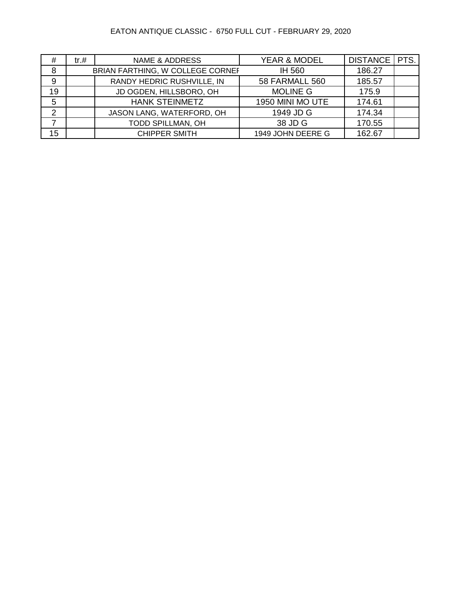# EATON ANTIQUE CLASSIC - 6750 FULL CUT - FEBRUARY 29, 2020

| #              | $tr. \#$ | <b>NAME &amp; ADDRESS</b>        | YEAR & MODEL          | DISTANCE   PTS. |  |
|----------------|----------|----------------------------------|-----------------------|-----------------|--|
| 8              |          | BRIAN FARTHING, W COLLEGE CORNEF | IH 560                | 186.27          |  |
| 9              |          | RANDY HEDRIC RUSHVILLE, IN       | <b>58 FARMALL 560</b> | 185.57          |  |
| 19             |          | JD OGDEN, HILLSBORO, OH          | <b>MOLINE G</b>       | 175.9           |  |
| 5              |          | <b>HANK STEINMETZ</b>            | 1950 MINI MO UTE      | 174.61          |  |
| $\overline{2}$ |          | JASON LANG, WATERFORD, OH        | 1949 JD G             | 174.34          |  |
|                |          | TODD SPILLMAN, OH                | 38 JD G               | 170.55          |  |
| 15             |          | <b>CHIPPER SMITH</b>             | 1949 JOHN DEERE G     | 162.67          |  |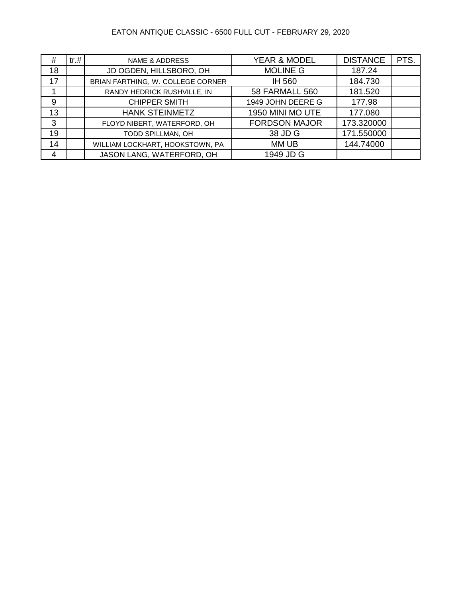### EATON ANTIQUE CLASSIC - 6500 FULL CUT - FEBRUARY 29, 2020

| #  | tr.# | <b>NAME &amp; ADDRESS</b>         | <b>YEAR &amp; MODEL</b> | <b>DISTANCE</b> | PTS. |
|----|------|-----------------------------------|-------------------------|-----------------|------|
| 18 |      | JD OGDEN, HILLSBORO, OH           | <b>MOLINE G</b>         | 187.24          |      |
| 17 |      | BRIAN FARTHING, W. COLLEGE CORNER | IH 560                  | 184.730         |      |
|    |      | RANDY HEDRICK RUSHVILLE, IN       | <b>58 FARMALL 560</b>   | 181.520         |      |
| 9  |      | <b>CHIPPER SMITH</b>              | 1949 JOHN DEERE G       | 177.98          |      |
| 13 |      | <b>HANK STEINMETZ</b>             | 1950 MINI MO UTE        | 177.080         |      |
| 3  |      | FLOYD NIBERT, WATERFORD, OH       | <b>FORDSON MAJOR</b>    | 173.320000      |      |
| 19 |      | TODD SPILLMAN, OH                 | 38 JD G                 | 171.550000      |      |
| 14 |      | WILLIAM LOCKHART, HOOKSTOWN, PA   | MM UB                   | 144.74000       |      |
| 4  |      | JASON LANG, WATERFORD, OH         | 1949 JD G               |                 |      |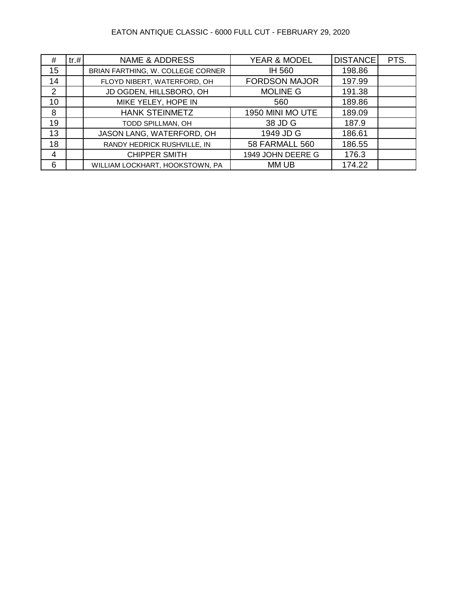### EATON ANTIQUE CLASSIC - 6000 FULL CUT - FEBRUARY 29, 2020

| #  | tr.# | <b>NAME &amp; ADDRESS</b>         | <b>YEAR &amp; MODEL</b> | <b>DISTANCE</b> | PTS. |
|----|------|-----------------------------------|-------------------------|-----------------|------|
| 15 |      | BRIAN FARTHING, W. COLLEGE CORNER | IH 560                  | 198.86          |      |
| 14 |      | FLOYD NIBERT, WATERFORD, OH       | <b>FORDSON MAJOR</b>    | 197.99          |      |
| 2  |      | JD OGDEN, HILLSBORO, OH           | <b>MOLINE G</b>         | 191.38          |      |
| 10 |      | MIKE YELEY, HOPE IN               | 560                     | 189.86          |      |
| 8  |      | <b>HANK STEINMETZ</b>             | 1950 MINI MO UTE        | 189.09          |      |
| 19 |      | TODD SPILLMAN, OH                 | 38 JD G                 | 187.9           |      |
| 13 |      | JASON LANG, WATERFORD, OH         | 1949 JD G               | 186.61          |      |
| 18 |      | RANDY HEDRICK RUSHVILLE, IN       | <b>58 FARMALL 560</b>   | 186.55          |      |
| 4  |      | <b>CHIPPER SMITH</b>              | 1949 JOHN DEERE G       | 176.3           |      |
| 6  |      | WILLIAM LOCKHART, HOOKSTOWN, PA   | MM UB                   | 174.22          |      |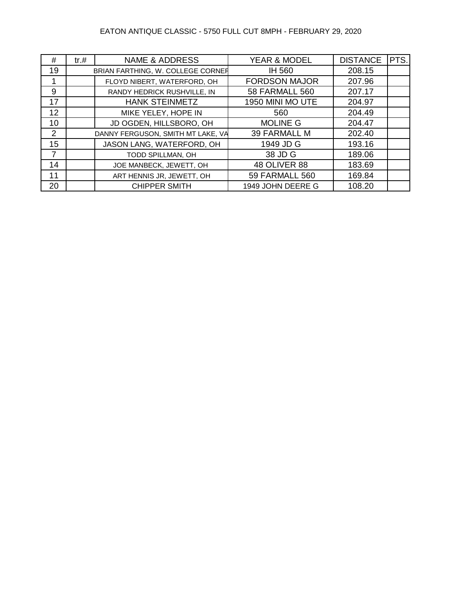### EATON ANTIQUE CLASSIC - 5750 FULL CUT 8MPH - FEBRUARY 29, 2020

| #              | tr. # | <b>NAME &amp; ADDRESS</b>         | <b>YEAR &amp; MODEL</b> | <b>DISTANCE</b> | PTS. |
|----------------|-------|-----------------------------------|-------------------------|-----------------|------|
| 19             |       | BRIAN FARTHING, W. COLLEGE CORNER | IH 560                  | 208.15          |      |
| 1              |       | FLOYD NIBERT, WATERFORD, OH       | <b>FORDSON MAJOR</b>    | 207.96          |      |
| 9              |       | RANDY HEDRICK RUSHVILLE, IN       | <b>58 FARMALL 560</b>   | 207.17          |      |
| 17             |       | <b>HANK STEINMETZ</b>             | 1950 MINI MO UTE        | 204.97          |      |
| 12             |       | MIKE YELEY, HOPE IN               | 560                     | 204.49          |      |
| 10             |       | JD OGDEN, HILLSBORO, OH           | <b>MOLINE G</b>         | 204.47          |      |
| 2              |       | DANNY FERGUSON, SMITH MT LAKE, VA | 39 FARMALL M            | 202.40          |      |
| 15             |       | JASON LANG, WATERFORD, OH         | 1949 JD G               | 193.16          |      |
| $\overline{7}$ |       | TODD SPILLMAN, OH                 | 38 JD G                 | 189.06          |      |
| 14             |       | JOE MANBECK, JEWETT, OH           | <b>48 OLIVER 88</b>     | 183.69          |      |
| 11             |       | ART HENNIS JR, JEWETT, OH         | <b>59 FARMALL 560</b>   | 169.84          |      |
| 20             |       | <b>CHIPPER SMITH</b>              | 1949 JOHN DEERE G       | 108.20          |      |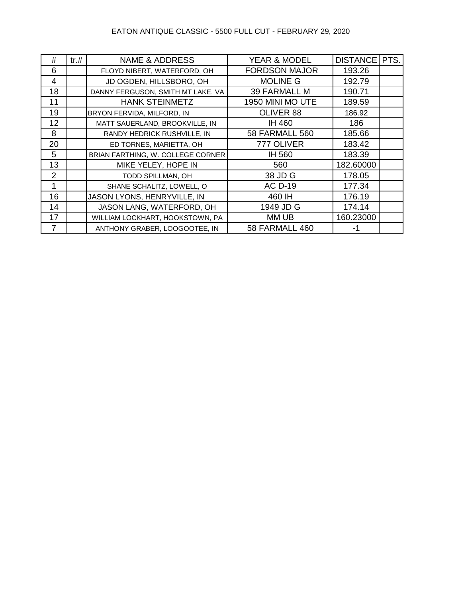#### EATON ANTIQUE CLASSIC - 5500 FULL CUT - FEBRUARY 29, 2020

| #  | tr. # | <b>NAME &amp; ADDRESS</b>         | <b>YEAR &amp; MODEL</b> | DISTANCE   PTS. |  |
|----|-------|-----------------------------------|-------------------------|-----------------|--|
| 6  |       | FLOYD NIBERT, WATERFORD, OH       | <b>FORDSON MAJOR</b>    | 193.26          |  |
| 4  |       | JD OGDEN, HILLSBORO, OH           | <b>MOLINE G</b>         | 192.79          |  |
| 18 |       | DANNY FERGUSON, SMITH MT LAKE, VA | <b>39 FARMALL M</b>     | 190.71          |  |
| 11 |       | <b>HANK STEINMETZ</b>             | 1950 MINI MO UTE        | 189.59          |  |
| 19 |       | BRYON FERVIDA, MILFORD, IN        | OLIVER 88               | 186.92          |  |
| 12 |       | MATT SAUERLAND, BROOKVILLE, IN    | IH 460                  | 186             |  |
| 8  |       | RANDY HEDRICK RUSHVILLE, IN       | <b>58 FARMALL 560</b>   | 185.66          |  |
| 20 |       | ED TORNES, MARIETTA, OH           | 777 OLIVER              | 183.42          |  |
| 5  |       | BRIAN FARTHING, W. COLLEGE CORNER | <b>IH 560</b>           | 183.39          |  |
| 13 |       | MIKE YELEY, HOPE IN               | 560                     | 182.60000       |  |
| 2  |       | TODD SPILLMAN, OH                 | 38 JD G                 | 178.05          |  |
| 1  |       | SHANE SCHALITZ, LOWELL, O         | <b>AC D-19</b>          | 177.34          |  |
| 16 |       | JASON LYONS, HENRYVILLE, IN       | 460 IH                  | 176.19          |  |
| 14 |       | JASON LANG, WATERFORD, OH         | 1949 JD G               | 174.14          |  |
| 17 |       | WILLIAM LOCKHART, HOOKSTOWN, PA   | MM UB                   | 160.23000       |  |
| 7  |       | ANTHONY GRABER, LOOGOOTEE, IN     | <b>58 FARMALL 460</b>   | -1              |  |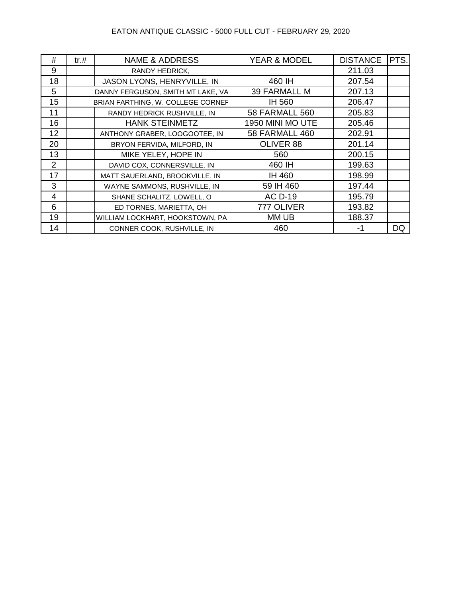### EATON ANTIQUE CLASSIC - 5000 FULL CUT - FEBRUARY 29, 2020

| #              | tr. # | <b>NAME &amp; ADDRESS</b>         | <b>YEAR &amp; MODEL</b> | <b>DISTANCE</b> | PTS.      |
|----------------|-------|-----------------------------------|-------------------------|-----------------|-----------|
| 9              |       | RANDY HEDRICK,                    |                         | 211.03          |           |
| 18             |       | JASON LYONS, HENRYVILLE, IN       | 460 IH                  | 207.54          |           |
| 5              |       | DANNY FERGUSON, SMITH MT LAKE, VA | <b>39 FARMALL M</b>     | 207.13          |           |
| 15             |       | BRIAN FARTHING, W. COLLEGE CORNER | IH 560                  | 206.47          |           |
| 11             |       | RANDY HEDRICK RUSHVILLE, IN       | <b>58 FARMALL 560</b>   | 205.83          |           |
| 16             |       | <b>HANK STEINMETZ</b>             | 1950 MINI MO UTE        | 205.46          |           |
| 12             |       | ANTHONY GRABER, LOOGOOTEE, IN     | 58 FARMALL 460          | 202.91          |           |
| 20             |       | BRYON FERVIDA, MILFORD, IN        | OLIVER 88               | 201.14          |           |
| 13             |       | MIKE YELEY, HOPE IN               | 560                     | 200.15          |           |
| 2              |       | DAVID COX, CONNERSVILLE, IN       | 460 IH                  | 199.63          |           |
| 17             |       | MATT SAUERLAND, BROOKVILLE, IN    | IH 460                  | 198.99          |           |
| 3              |       | WAYNE SAMMONS, RUSHVILLE, IN      | 59 IH 460               | 197.44          |           |
| $\overline{4}$ |       | SHANE SCHALITZ, LOWELL, O         | <b>AC D-19</b>          | 195.79          |           |
| 6              |       | ED TORNES, MARIETTA, OH           | 777 OLIVER              | 193.82          |           |
| 19             |       | WILLIAM LOCKHART, HOOKSTOWN, PA   | MM UB                   | 188.37          |           |
| 14             |       | CONNER COOK, RUSHVILLE, IN        | 460                     | -1              | <b>DQ</b> |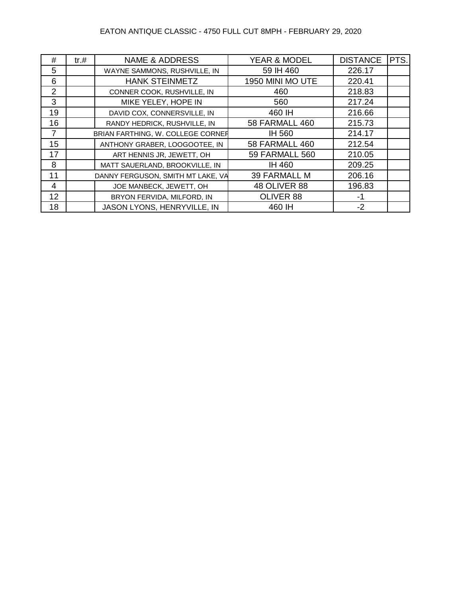### EATON ANTIQUE CLASSIC - 4750 FULL CUT 8MPH - FEBRUARY 29, 2020

| #              | tr. # | <b>NAME &amp; ADDRESS</b>         | <b>YEAR &amp; MODEL</b> | <b>DISTANCE</b> | PTS. |
|----------------|-------|-----------------------------------|-------------------------|-----------------|------|
| 5              |       | WAYNE SAMMONS, RUSHVILLE, IN      | 59 IH 460               | 226.17          |      |
| 6              |       | <b>HANK STEINMETZ</b>             | 1950 MINI MO UTE        | 220.41          |      |
| $\overline{2}$ |       | CONNER COOK, RUSHVILLE, IN        | 460                     | 218.83          |      |
| 3              |       | MIKE YELEY, HOPE IN               | 560                     | 217.24          |      |
| 19             |       | DAVID COX, CONNERSVILLE, IN       | 460 IH                  | 216.66          |      |
| 16             |       | RANDY HEDRICK, RUSHVILLE, IN      | 58 FARMALL 460          | 215.73          |      |
| $\overline{7}$ |       | BRIAN FARTHING, W. COLLEGE CORNER | IH 560                  | 214.17          |      |
| 15             |       | ANTHONY GRABER, LOOGOOTEE, IN     | 58 FARMALL 460          | 212.54          |      |
| 17             |       | ART HENNIS JR, JEWETT, OH         | <b>59 FARMALL 560</b>   | 210.05          |      |
| 8              |       | MATT SAUERLAND, BROOKVILLE, IN    | IH 460                  | 209.25          |      |
| 11             |       | DANNY FERGUSON, SMITH MT LAKE, VA | <b>39 FARMALL M</b>     | 206.16          |      |
| 4              |       | JOE MANBECK, JEWETT, OH           | <b>48 OLIVER 88</b>     | 196.83          |      |
| 12             |       | BRYON FERVIDA, MILFORD, IN        | OLIVER 88               | -1              |      |
| 18             |       | JASON LYONS, HENRYVILLE, IN       | 460 IH                  | $-2$            |      |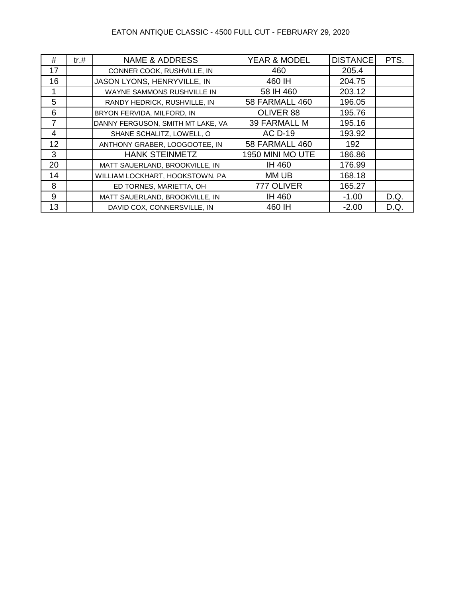### EATON ANTIQUE CLASSIC - 4500 FULL CUT - FEBRUARY 29, 2020

| #  | tr.# | <b>NAME &amp; ADDRESS</b>         | YEAR & MODEL        | <b>DISTANCE</b> | PTS. |
|----|------|-----------------------------------|---------------------|-----------------|------|
| 17 |      | CONNER COOK, RUSHVILLE, IN        | 460                 | 205.4           |      |
| 16 |      | JASON LYONS, HENRYVILLE, IN       | 460 IH              | 204.75          |      |
|    |      | WAYNE SAMMONS RUSHVILLE IN        | 58 IH 460           | 203.12          |      |
| 5  |      | RANDY HEDRICK, RUSHVILLE, IN      | 58 FARMALL 460      | 196.05          |      |
| 6  |      | BRYON FERVIDA, MILFORD, IN        | OLIVER 88           | 195.76          |      |
| 7  |      | DANNY FERGUSON, SMITH MT LAKE, VA | <b>39 FARMALL M</b> | 195.16          |      |
| 4  |      | SHANE SCHALITZ, LOWELL, O         | <b>AC D-19</b>      | 193.92          |      |
| 12 |      | ANTHONY GRABER, LOOGOOTEE, IN     | 58 FARMALL 460      | 192             |      |
| 3  |      | <b>HANK STEINMETZ</b>             | 1950 MINI MO UTE    | 186.86          |      |
| 20 |      | MATT SAUERLAND, BROOKVILLE, IN    | <b>IH 460</b>       | 176.99          |      |
| 14 |      | WILLIAM LOCKHART, HOOKSTOWN, PA   | MM UB               | 168.18          |      |
| 8  |      | ED TORNES, MARIETTA, OH           | 777 OLIVER          | 165.27          |      |
| 9  |      | MATT SAUERLAND, BROOKVILLE, IN    | IH 460              | $-1.00$         | D.Q. |
| 13 |      | DAVID COX, CONNERSVILLE, IN       | 460 IH              | $-2.00$         | D.Q. |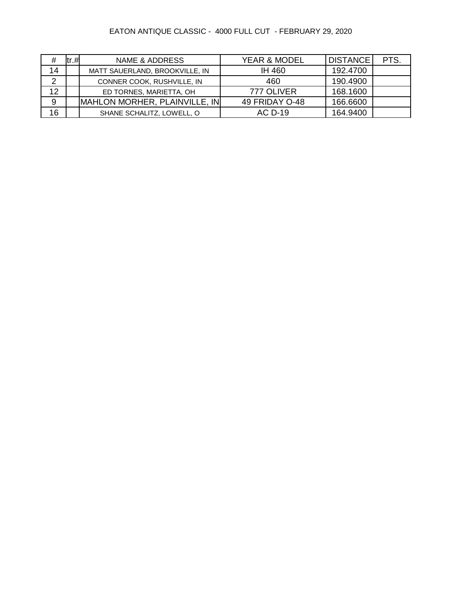# EATON ANTIQUE CLASSIC - 4000 FULL CUT - FEBRUARY 29, 2020

| #  | tr.# | NAME & ADDRESS                 | <b>YEAR &amp; MODEL</b> | <b>DISTANCE</b> | PTS. |
|----|------|--------------------------------|-------------------------|-----------------|------|
| 14 |      | MATT SAUERLAND, BROOKVILLE, IN | IH 460                  | 192.4700        |      |
| 2  |      | CONNER COOK, RUSHVILLE, IN     | 460                     | 190.4900        |      |
| 12 |      | ED TORNES, MARIETTA, OH        | 777 OLIVER              | 168.1600        |      |
| 9  |      | MAHLON MORHER, PLAINVILLE, IN  | 49 FRIDAY O-48          | 166.6600        |      |
| 16 |      | SHANE SCHALITZ, LOWELL, O      | AC D-19                 | 164.9400        |      |